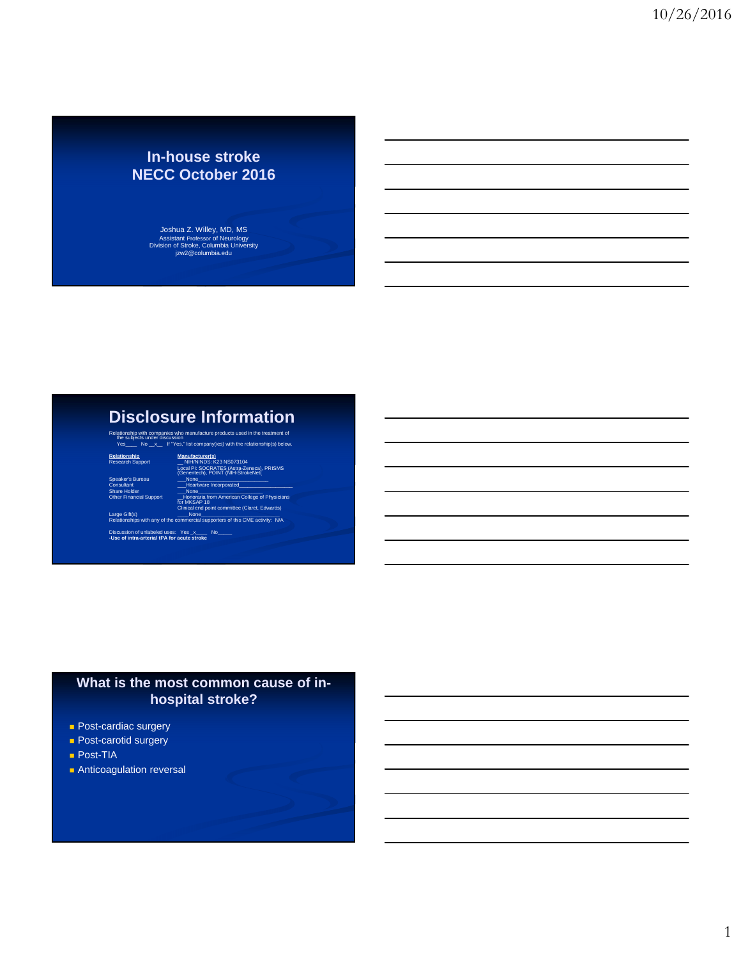## **In-house stroke NECC October 2016**

Joshua Z. Willey, MD, MS Assistant Professor of Neurology Division of Stroke, Columbia University jzw2@columbia.edu

# **Disclosure Information**

Relationship with companies who manufacture products used in the treatment of the subjects under discussion Yes\_\_\_\_ No \_\_x\_\_ If "Yes," list company(ies) with the relationship(s) below.

**Relationship Manufacturer(s)** Research Support \_\_ NIH/NINDS: K23 NS073104 Local PI: SOCRATES (Astra-Zeneca), PRISMS (Genentech), POINT (NIH-StrokeNet(

Speaker's Bureau \_\_\_None\_\_\_\_\_\_\_\_\_\_\_\_\_\_\_\_\_\_\_\_\_\_\_\_\_ Consultant \_\_\_Heartware Incorporated\_\_\_\_\_\_\_\_\_\_\_\_\_\_\_\_\_\_\_ Share Holder \_\_\_None\_\_\_\_\_\_\_\_\_\_\_\_\_\_\_\_\_\_\_\_\_\_\_ Other Financial Support \_\_Honoraria from American College of Physicians for MKSAP 18

Clinical end point committee (Claret, Edwards) Large Gift(s) \_\_\_\_None\_\_\_\_\_\_\_\_\_\_\_\_\_\_\_\_\_\_\_\_\_\_\_\_\_\_\_\_ Large Gift(s)<br>Large Gift(s)<br>Relationships with any of the commercial supporters of this CME activity: N/A

Discussion of unlabeled uses: Yes \_x\_\_\_\_ No\_\_\_\_\_ **-Use of intra-arterial tPA for acute stroke**

#### **What is the most common cause of inhospital stroke?**

- **Post-cardiac surgery**
- **Post-carotid surgery**
- **Post-TIA**
- **Anticoagulation reversal**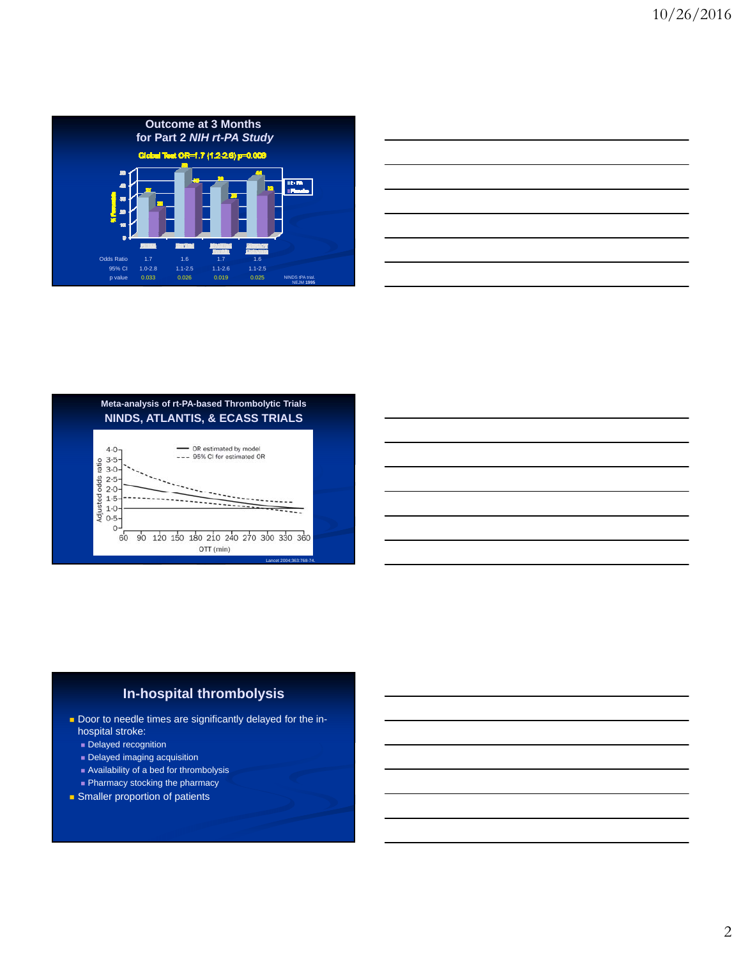





#### **In-hospital thrombolysis**

- Door to needle times are significantly delayed for the inhospital stroke:
	- **Delayed recognition**
	- Delayed imaging acquisition
	- Availability of a bed for thrombolysis **Pharmacy stocking the pharmacy**
- **Smaller proportion of patients**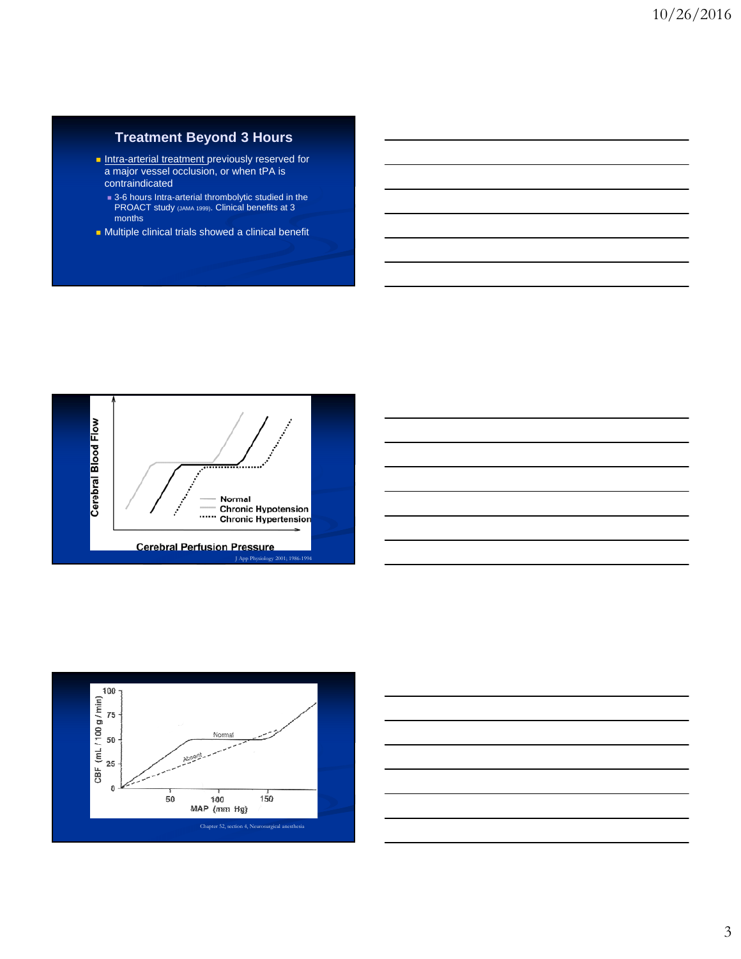### **Treatment Beyond 3 Hours**

- **Intra-arterial treatment previously reserved for** a major vessel occlusion, or when tPA is contraindicated
	- 3-6 hours Intra-arterial thrombolytic studied in the PROACT study (JAMA 1999). Clinical benefits at 3 months
- **Multiple clinical trials showed a clinical benefit**





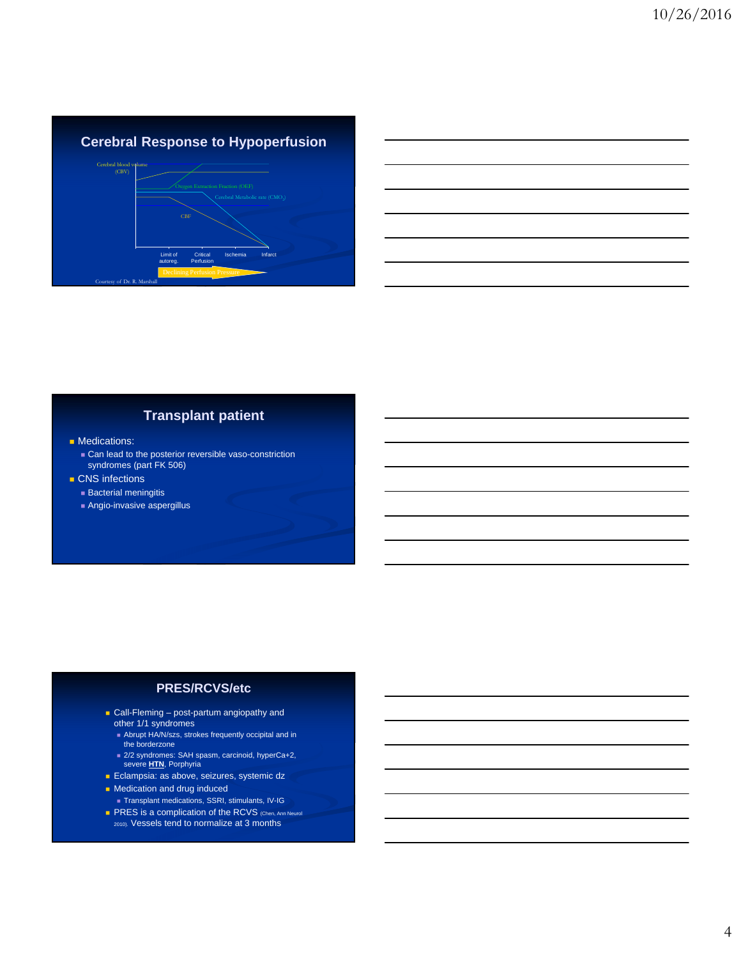### **Cerebral Response to Hypoperfusion** Limit of autoreg. **Critical** Perfusion **Ischemia** Cerebral blood volume (CBV) CBF

## **Transplant patient**

- **Medications:** 
	- Can lead to the posterior reversible vaso-constriction syndromes (part FK 506)
- **CNS** infections
- **Bacterial meningitis**

Courtesy of Dr. R. Marshall

Angio-invasive aspergillus

#### **PRES/RCVS/etc**

- **Call-Fleming post-partum angiopathy and** other 1/1 syndromes
	- Abrupt HA/N/szs, strokes frequently occipital and in the borderzone
	- 2/2 syndromes: SAH spasm, carcinoid, hyperCa+2, severe **HTN**, Porphyria
- **Eclampsia: as above, seizures, systemic dz**
- **Medication and drug induced**
- Transplant medications, SSRI, stimulants, IV-IG **PRES** is a complication of the RCVS (Chen, Ann Neurol
- 2010). Vessels tend to normalize at 3 months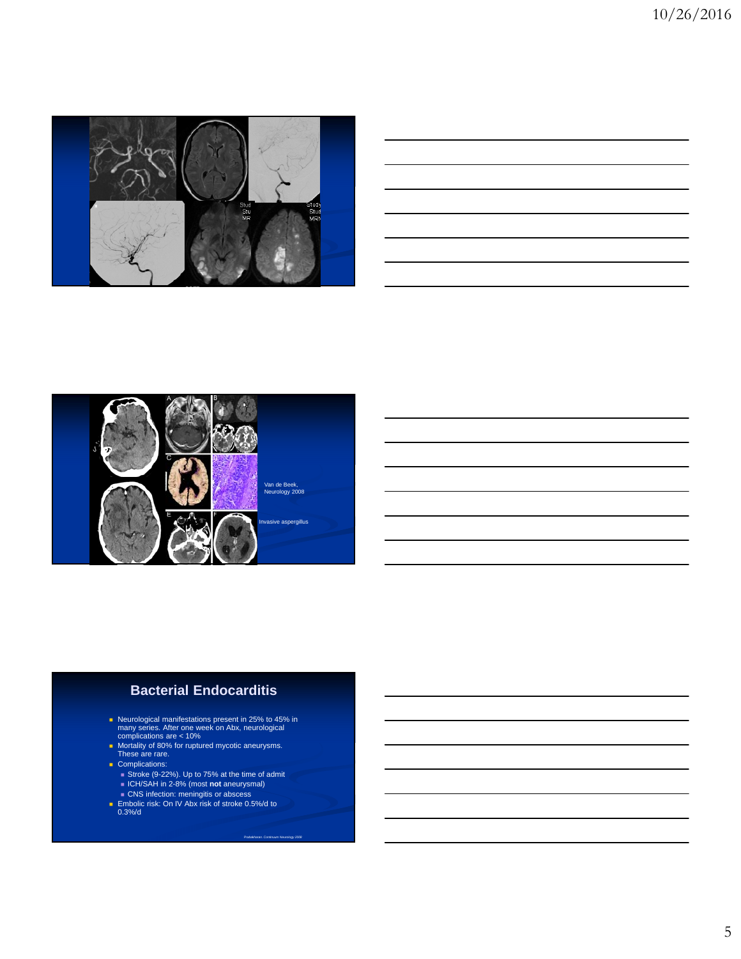

|                                                                                                                          |                                                                                                                      |  |  | the control of the control of the |
|--------------------------------------------------------------------------------------------------------------------------|----------------------------------------------------------------------------------------------------------------------|--|--|-----------------------------------|
| <u>se a componente de la componente de la componente de la componente de la componente de la componente de la com</u>    | <u> 1988 - Andrea Santa Andrea Andrea Andrea Andrea Andrea Andrea Andrea Andrea Andrea Andrea Andrea Andrea Andr</u> |  |  |                                   |
| <u>successive and the second control of the second control of the second control of the second control of the second</u> |                                                                                                                      |  |  | _________                         |
|                                                                                                                          |                                                                                                                      |  |  |                                   |
| <u> Alexandro de la contrada de la contrada de la contrada de la contrada de la contrada de la contrada de la con</u>    |                                                                                                                      |  |  |                                   |
|                                                                                                                          |                                                                                                                      |  |  |                                   |



#### **Bacterial Endocarditis**

- Neurological manifestations present in 25% to 45% in many series. After one week on Abx, neurological complications are < 10%
- **Nortality of 80% for ruptured mycotic aneurysms.**<br>These are rare.
- Complications:
- Stroke (9-22%). Up to 75% at the time of admit
- ICH/SAH in 2-8% (most **not** aneurysmal)
- **CNS** infection: meningitis or abscess ■ Embolic risk: On IV Abx risk of stroke 0.5%/d to 0.3%/d

*Prabakharan. Continuum Neurology 2008*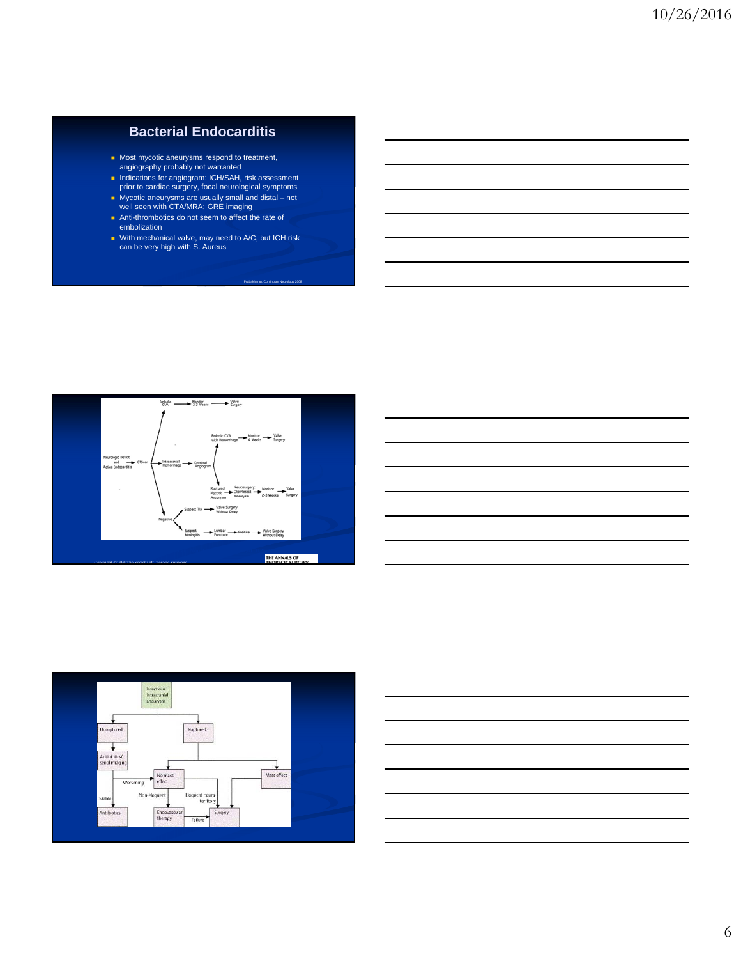#### **Bacterial Endocarditis**

- Most mycotic aneurysms respond to treatment, angiography probably not warranted
- Indications for angiogram: ICH/SAH, risk assessment prior to cardiac surgery, focal neurological symptoms
- 
- Mycotic aneurysms are usually small and distal not well seen with CTA/MRA; GRE imaging
- Anti-thrombotics do not seem to affect the rate of embolization
- With mechanical valve, may need to A/C, but ICH risk can be very high with S. Aureus

Prabakharan. Continuum Neurology 2008







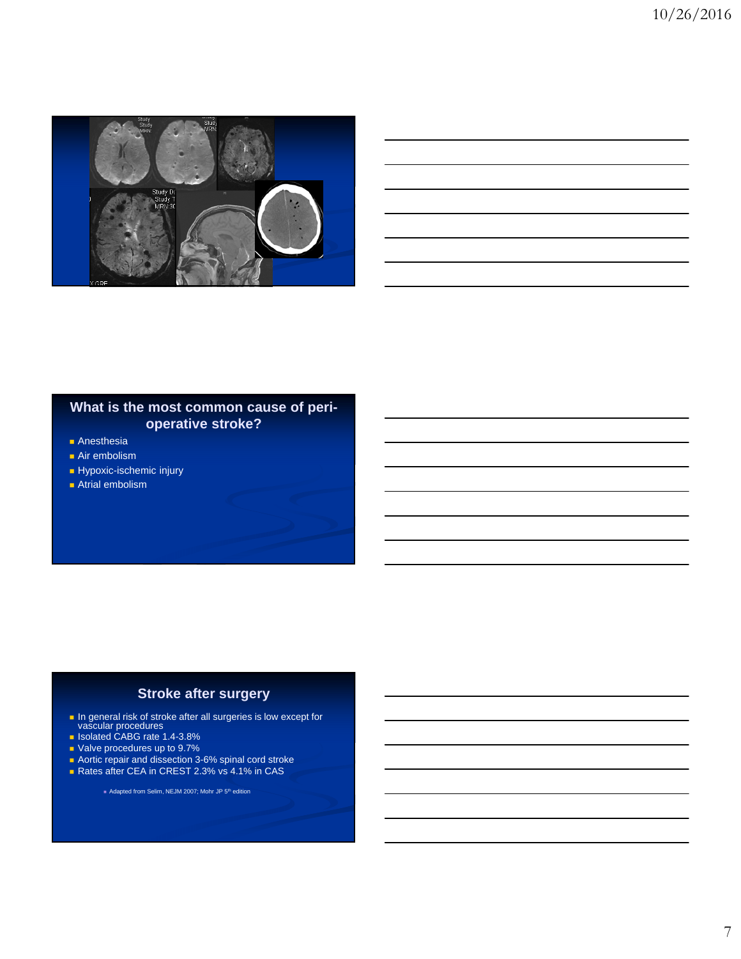

#### **What is the most common cause of perioperative stroke?**

- **Anesthesia**
- **Air embolism**
- Hypoxic-ischemic injury
- **Atrial embolism**

#### **Stroke after surgery**

- **In general risk of stroke after all surgeries is low except for vascular procedures**
- **B** Isolated CABG rate 1.4-3.8%
- Valve procedures up to 9.7%
- **Aortic repair and dissection 3-6% spinal cord stroke**
- Rates after CEA in CREST 2.3% vs 4.1% in CAS

Adapted from Selim, NEJM 2007; Mohr JP 5th edition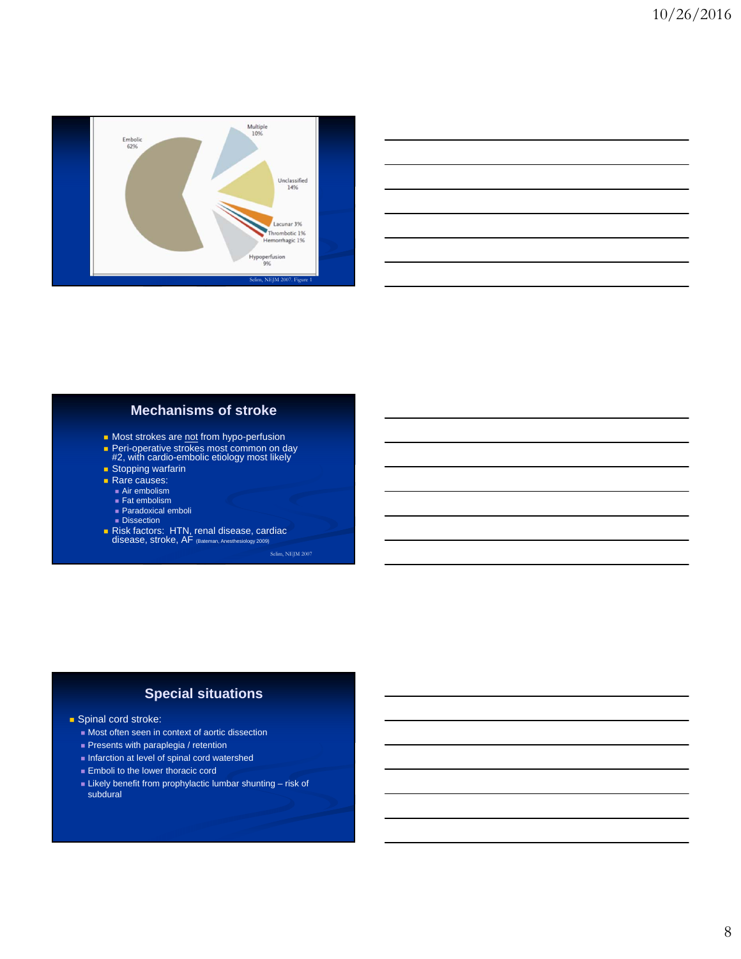

| <u> 1989 - Andrea Santana, amerikana amerikana amerikana amerikana amerikana amerikana amerikana amerikana amerik</u> |  |  |
|-----------------------------------------------------------------------------------------------------------------------|--|--|
| <u> 1989 - Johann Stoff, amerikansk politiker (d. 1989)</u>                                                           |  |  |
| <u> 1989 - Johann Stoff, amerikansk politiker (d. 1989)</u>                                                           |  |  |
| <u> 1989 - Johann Stoff, deutscher Stoff, der Stoff, der Stoff, der Stoff, der Stoff, der Stoff, der Stoff, der S</u> |  |  |
| <u> 1989 - Johann Stoff, deutscher Stoffen und der Stoffen und der Stoffen und der Stoffen und der Stoffen und de</u> |  |  |
| <u> 1989 - Johann Stoff, deutscher Stoff, der Stoff, der Stoff, der Stoff, der Stoff, der Stoff, der Stoff, der S</u> |  |  |
|                                                                                                                       |  |  |

 $\overline{a}$ 

#### **Mechanisms of stroke**

- Most strokes are not from hypo-perfusion
- **Peri-operative strokes most common on day #2**, with cardio-embolic etiology most likely
- 
- **Stopping warfarin** Rare causes:
	-
	- Air embolism ■ Fat embolism
	- Paradoxical emboli
	- **Dissection**
- Risk factors: HTN, renal disease, cardiac disease, stroke, AF (Bateman, Anesthesiology 2009)

Selim, NEJM 2007

#### **Special situations**

- Spinal cord stroke:
	- Most often seen in context of aortic dissection
	- **Presents with paraplegia / retention**
	- Infarction at level of spinal cord watershed
	- **Emboli to the lower thoracic cord**
	- Likely benefit from prophylactic lumbar shunting risk of subdural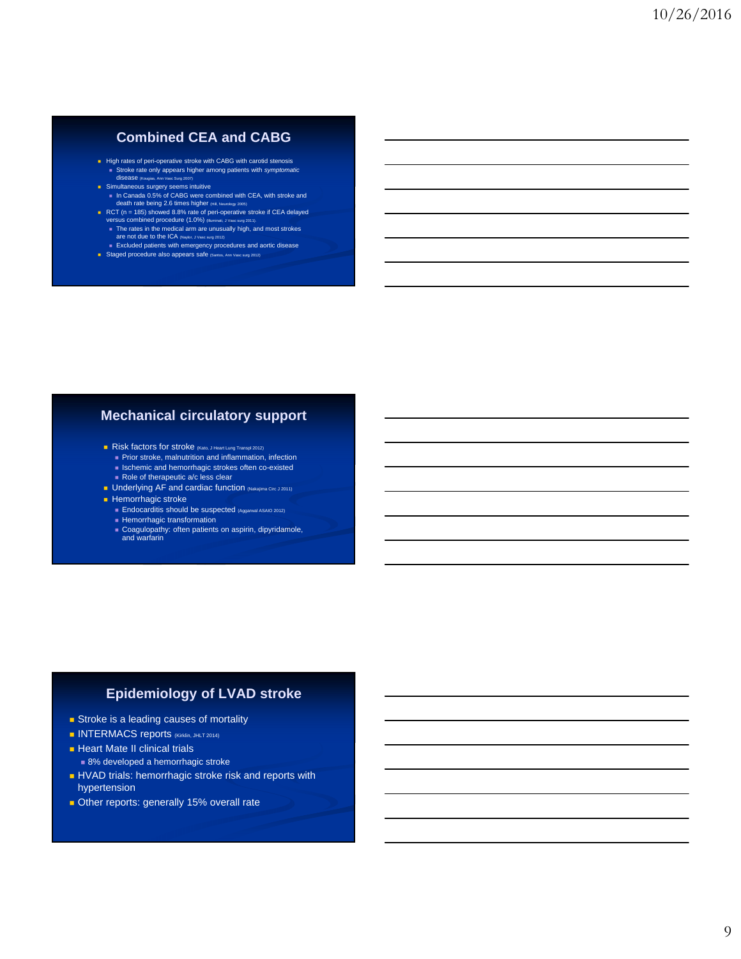#### **Combined CEA and CABG**

- High rates of peri-operative stroke with CABG with carotid stenosis Stroke rate only appears higher among patients with *symptomatic* disease (Kougias,
- Simultaneous surgery seems intuitive<br>
 In Canada 0.5% of CABG were combined with CEA, with stroke and<br>
death rate being 2.6 times higher (Hill, Neurology 2005)
- RCT (n = 185) showed 8.8% rate of peri-operative stroke if CEA delayed ersus combined procedure (1.0%) (Illu
	- The rates in the medical arm are unusually high, and most strokes are not due to the ICA (Naylor, J Vasc surg 2012) Excluded patients with emergency procedures and aortic disease
- Staged procedure also appears safe (Santos, Ann Vasc sur

#### **Mechanical circulatory support**

- Risk factors for stroke (Kato, J Heart Lung Transpl 2012)
	- **Prior stroke, malnutrition and inflammation, infection**
	- **Ischemic and hemorrhagic strokes often co-existed**
	- Role of therapeutic a/c less clear
- **Underlying AF and cardiac function (Nakajima Circ J 2011) Hemorrhagic stroke** 
	- Endocarditis should be suspected (Aggarwal ASAIO 2012)
	- $\blacksquare$  Hemorrhagic transformation
	- Coagulopathy: often patients on aspirin, dipyridamole, and warfarin

#### **Epidemiology of LVAD stroke**

- Stroke is a leading causes of mortality
- INTERMACS reports (Kirklin, JHLT 2014)
- **Heart Mate II clinical trials** 
	- 8% developed a hemorrhagic stroke
- HVAD trials: hemorrhagic stroke risk and reports with hypertension
- Other reports: generally 15% overall rate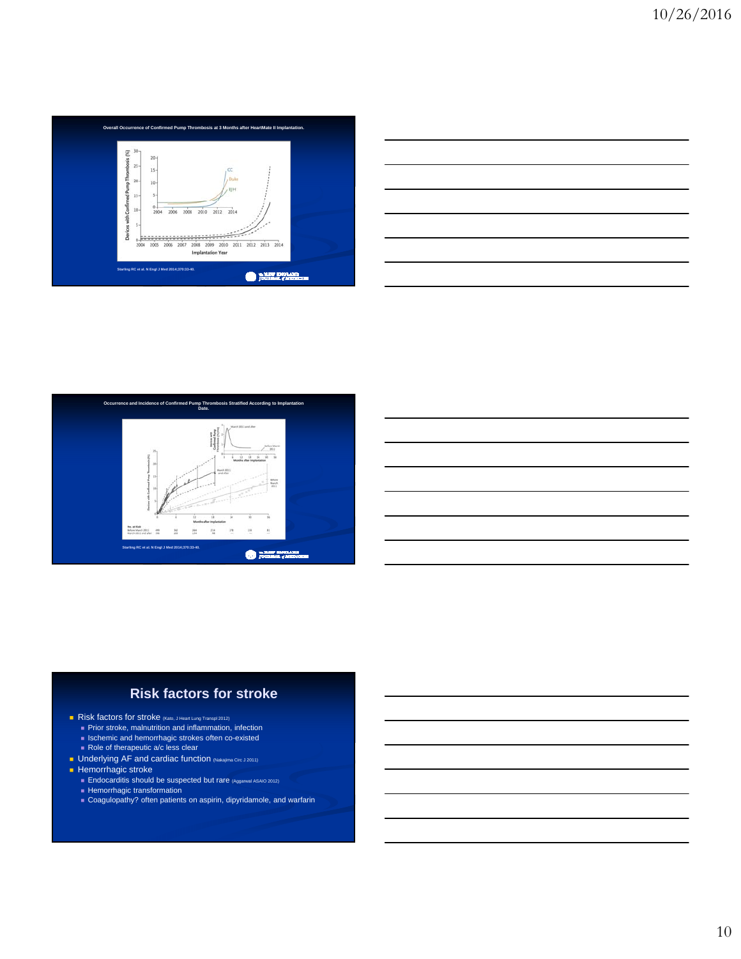

| <u> 1989 - Johann Stoff, Amerikaansk konst</u> |  |  |
|------------------------------------------------|--|--|
|                                                |  |  |
|                                                |  |  |
|                                                |  |  |
|                                                |  |  |
|                                                |  |  |
|                                                |  |  |
|                                                |  |  |
|                                                |  |  |
|                                                |  |  |
|                                                |  |  |
|                                                |  |  |
|                                                |  |  |
|                                                |  |  |
|                                                |  |  |
|                                                |  |  |
|                                                |  |  |
| and the contract of the contract of            |  |  |
|                                                |  |  |



#### **Risk factors for stroke**

- Risk factors for stroke (Kato, J Heart Lung Transpl 2012)
	- **Prior stroke, malnutrition and inflammation, infection**
	- **Ischemic and hemorrhagic strokes often co-existed**
- Role of therapeutic a/c less clear
- **Underlying AF** and cardiac function (Nakajima Circ J 2011)

#### $\blacksquare$  Hemorrhagic stroke

- **Endocarditis should be suspected but rare (Aggarwal ASAIO 2012)**
- **Hemorrhagic transformation**
- Coagulopathy? often patients on aspirin, dipyridamole, and warfarin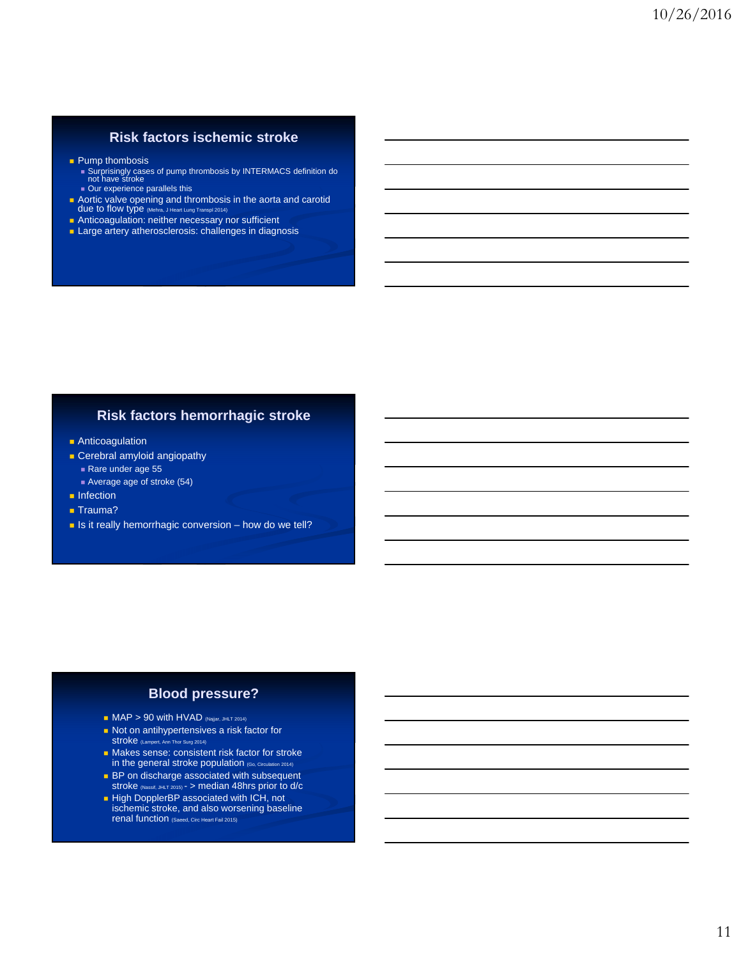#### **Risk factors ischemic stroke**

#### **Pump thombosis**

- Surprisingly cases of pump thrombosis by INTERMACS definition do not have stroke Our experience parallels this
- 
- **Aortic valve opening and thrombosis in the aorta and carotid due to flow type** (Mehra, J Heart Lung Transpl 2014)
- **Anticoagulation: neither necessary nor sufficient**

#### **Large artery atherosclerosis: challenges in diagnosis**

#### **Risk factors hemorrhagic stroke**

- **Anticoagulation**
- **Cerebral amyloid angiopathy** Rare under age 55
	- Average age of stroke (54)
- $\blacksquare$  Infection
- **Trauma?**
- $\blacksquare$  Is it really hemorrhagic conversion how do we tell?

#### **Blood pressure?**

- $MAP > 90$  with HVAD (Najjar, JHLT 2014)
- Not on antihypertensives a risk factor for Stroke (Lampert, Ann Thor Surg 2014
- **Makes sense: consistent risk factor for stroke** in the general stroke population (Go, Circulation 2014)
- **BP** on discharge associated with subsequent stroke (Nassif, JHLT 2015) - > median 48hrs prior to d/c
- High DopplerBP associated with ICH, not ischemic stroke, and also worsening baseline renal function (Saeed, Circ Heart Fail 2015)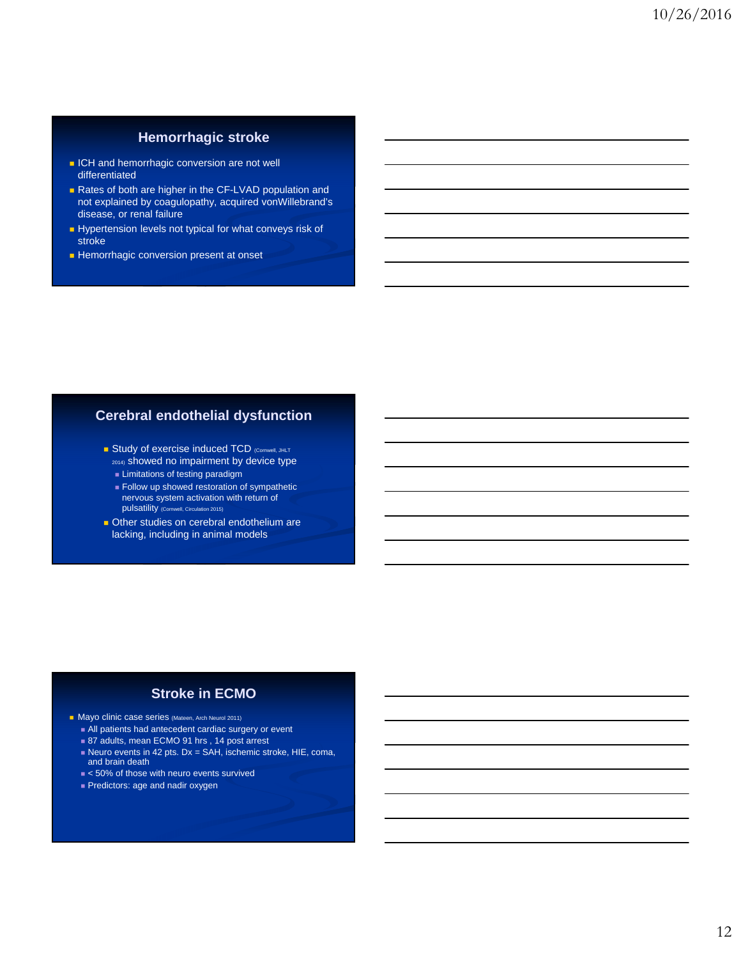#### **Hemorrhagic stroke**

- **ICH** and hemorrhagic conversion are not well differentiated
- Rates of both are higher in the CF-LVAD population and not explained by coagulopathy, acquired vonWillebrand's disease, or renal failure
- Hypertension levels not typical for what conveys risk of stroke
- **Hemorrhagic conversion present at onset**

#### **Cerebral endothelial dysfunction**

- Study of exercise induced TCD (Cornwell, JHLT 2014) showed no impairment by device type
	- **Limitations of testing paradigm**
	- **Follow up showed restoration of sympathetic** nervous system activation with return of pulsatility (Cornwell, Circulation 2015)
- **Deta** Other studies on cerebral endothelium are lacking, including in animal models

#### **Stroke in ECMO**

- **Mayo clinic case series (Mateen, Arch Neurol 2011)** 
	- All patients had antecedent cardiac surgery or event
	- 87 adults, mean ECMO 91 hrs, 14 post arrest
	- Neuro events in 42 pts. Dx = SAH, ischemic stroke, HIE, coma, and brain death
	- $\triangleq$  50% of those with neuro events survived
	- **Predictors: age and nadir oxygen**